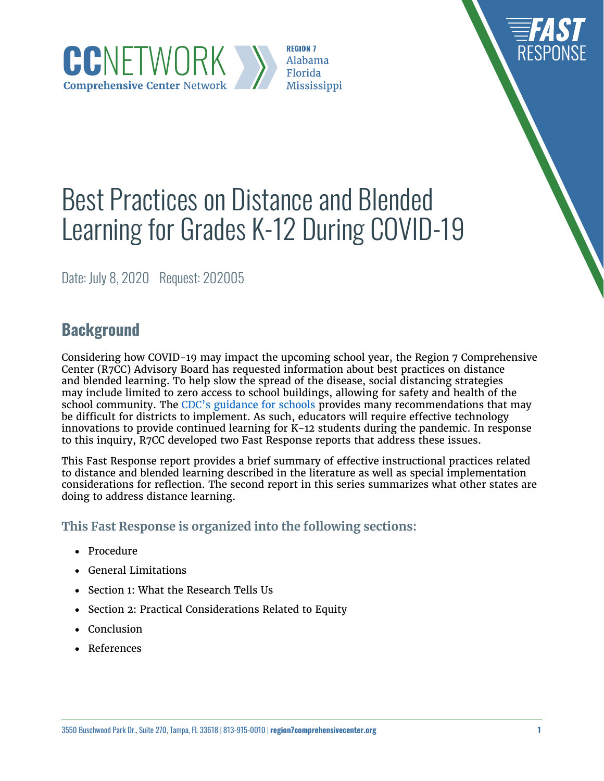**REGION 7** Alabama Florida Mississippi

# Best Practices on Distance and Blended Learning for Grades K-12 During COVID-19

Date: July 8, 2020 Request: 202005

CCNETWORK

**Comprehensive Center Network** 

# **Background**

Considering how COVID-19 may impact the upcoming school year, the Region 7 Comprehensive Center (R7CC) Advisory Board has requested information about best practices on distance and blended learning. To help slow the spread of the disease, social distancing strategies may include limited to zero access to school buildings, allowing for safety and health of the school community. The [CDC's guidance for schools](https://www.cdc.gov/coronavirus/2019-ncov/community/schools-childcare/schools.html) provides many recommendations that may be difficult for districts to implement. As such, educators will require effective technology innovations to provide continued learning for K-12 students during the pandemic. In response to this inquiry, R7CC developed two Fast Response reports that address these issues.

This Fast Response report provides a brief summary of effective instructional practices related to distance and blended learning described in the literature as well as special implementation considerations for reflection. The second report in this series summarizes what other states are doing to address distance learning.

### **This Fast Response is organized into the following sections:**

- • Procedure
- • General Limitations
- Section 1: What the Research Tells Us
- Section 2: Practical Considerations Related to Equity
- • Conclusion
- • References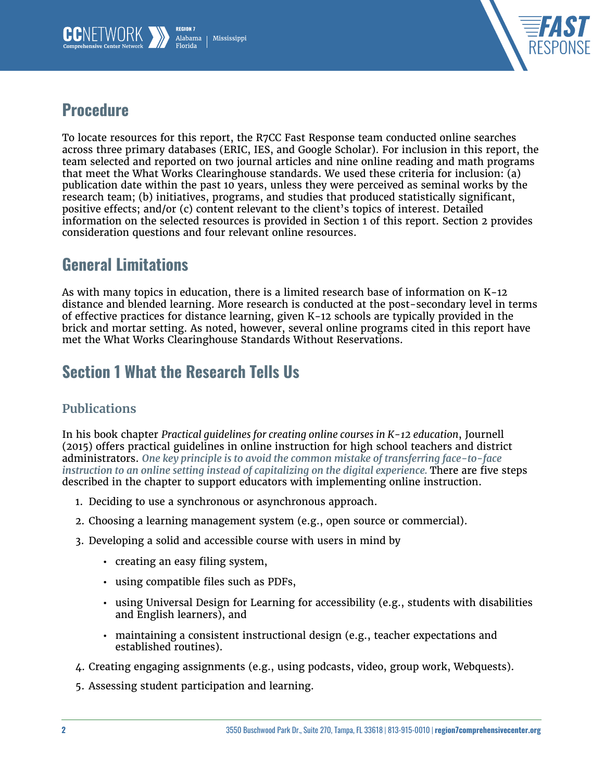



## **Procedure**

To locate resources for this report, the R7CC Fast Response team conducted online searches across three primary databases (ERIC, IES, and Google Scholar). For inclusion in this report, the team selected and reported on two journal articles and nine online reading and math programs that meet the What Works Clearinghouse standards. We used these criteria for inclusion: (a) publication date within the past 10 years, unless they were perceived as seminal works by the research team; (b) initiatives, programs, and studies that produced statistically significant, positive effects; and/or (c) content relevant to the client's topics of interest. Detailed information on the selected resources is provided in Section 1 of this report. Section 2 provides consideration questions and four relevant online resources.

## General Limitations

As with many topics in education, there is a limited research base of information on K-12 distance and blended learning. More research is conducted at the post-secondary level in terms of effective practices for distance learning, given K-12 schools are typically provided in the brick and mortar setting. As noted, however, several online programs cited in this report have met the What Works Clearinghouse Standards Without Reservations.

# Section 1 What the Research Tells Us

## **Publications**

In his book chapter *Practical guidelines for creating online courses in K-12 education*, Journell (2015) offers practical guidelines in online instruction for high school teachers and district administrators. *One key principle is to avoid the common mistake of transferring face-to-face instruction to an online setting instead of capitalizing on the digital experience. There are five steps* described in the chapter to support educators with implementing online instruction.

- 1. Deciding to use a synchronous or asynchronous approach.
- 2. Choosing a learning management system (e.g., open source or commercial).
- 3. Developing a solid and accessible course with users in mind by
	- creating an easy filing system,
	- using compatible files such as PDFs,
	- using Universal Design for Learning for accessibility (e.g., students with disabilities and English learners), and
	- maintaining a consistent instructional design (e.g., teacher expectations and established routines).
- 4. Creating engaging assignments (e.g., using podcasts, video, group work, Webquests).
- 5. Assessing student participation and learning.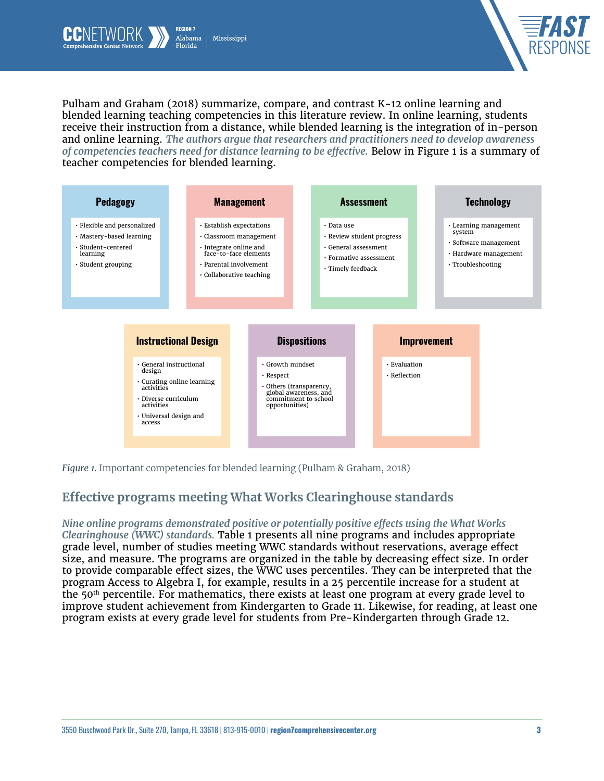



Pulham and Graham (2018) summarize, compare, and contrast K-12 online learning and blended learning teaching competencies in this literature review. In online learning, students receive their instruction from a distance, while blended learning is the integration of in-person and online learning. *The authors argue that researchers and practitioners need to develop awareness of competencies teachers need for distance learning to be effective.* Below in Figure 1 is a summary of teacher competencies for blended learning.



*Figure 1.* Important competencies for blended learning (Pulham & Graham, 2018)

## **Effective programs meeting What Works Clearinghouse standards**

#### *Nine online programs demonstrated positive or potentially positive effects using the What Works*

*Clearinghouse (WWC) standards.* Table 1 presents all nine programs and includes appropriate grade level, number of studies meeting WWC standards without reservations, average effect size, and measure. The programs are organized in the table by decreasing effect size. In order to provide comparable effect sizes, the WWC uses percentiles. They can be interpreted that the program Access to Algebra I, for example, results in a 25 percentile increase for a student at the 50<sup>th</sup> percentile. For mathematics, there exists at least one program at every grade level to improve student achievement from Kindergarten to Grade 11. Likewise, for reading, at least one program exists at every grade level for students from Pre-Kindergarten through Grade 12.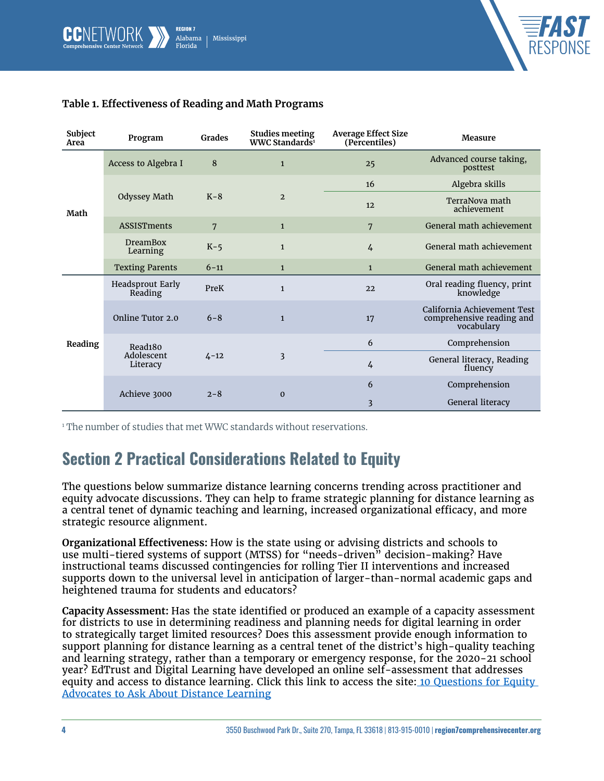



| Subject<br>Area | Program                                       | <b>Grades</b>  | <b>Studies meeting</b><br>WWC Standards <sup>1</sup> | <b>Average Effect Size</b><br>(Percentiles) | Measure                                                                |
|-----------------|-----------------------------------------------|----------------|------------------------------------------------------|---------------------------------------------|------------------------------------------------------------------------|
| Math            | Access to Algebra I                           | 8              | $\mathbf{1}$                                         | 25                                          | Advanced course taking,<br>posttest                                    |
|                 | Odyssey Math                                  | $K-8$          | $\overline{2}$                                       | 16                                          | Algebra skills                                                         |
|                 |                                               |                |                                                      | 12                                          | TerraNova math<br>achievement                                          |
|                 | <b>ASSISTments</b>                            | $\overline{7}$ | $\mathbf{1}$                                         | 7                                           | General math achievement                                               |
|                 | <b>DreamBox</b><br>Learning                   | $K-5$          | $\mathbf{1}$                                         | $\overline{4}$                              | General math achievement                                               |
|                 | <b>Texting Parents</b>                        | $6 - 11$       | $\mathbf{1}$                                         | $\mathbf{1}$                                | General math achievement                                               |
| Reading         | <b>Headsprout Early</b><br>Reading            | PreK           | $\mathbf{1}$                                         | 22                                          | Oral reading fluency, print<br>knowledge                               |
|                 | Online Tutor 2.0                              | $6 - 8$        | $\mathbf{1}$                                         | 17                                          | California Achievement Test<br>comprehensive reading and<br>vocabulary |
|                 | Read <sub>180</sub><br>Adolescent<br>Literacy | $4 - 12$       | 3                                                    | 6                                           | Comprehension                                                          |
|                 |                                               |                |                                                      | 4                                           | General literacy, Reading<br>fluency                                   |
|                 | Achieve 3000                                  | $2 - 8$        | $\mathbf 0$                                          | 6                                           | Comprehension                                                          |
|                 |                                               |                |                                                      | 3                                           | General literacy                                                       |

#### **Table 1. Effectiveness of Reading and Math Programs**

1 The number of studies that met WWC standards without reservations.

## Section 2 Practical Considerations Related to Equity

The questions below summarize distance learning concerns trending across practitioner and equity advocate discussions. They can help to frame strategic planning for distance learning as a central tenet of dynamic teaching and learning, increased organizational efficacy, and more strategic resource alignment.

**Organizational Effectiveness:** How is the state using or advising districts and schools to use multi-tiered systems of support (MTSS) for "needs-driven" decision-making? Have instructional teams discussed contingencies for rolling Tier II interventions and increased supports down to the universal level in anticipation of larger-than-normal academic gaps and heightened trauma for students and educators?

**Capacity Assessment:** Has the state identified or produced an example of a capacity assessment for districts to use in determining readiness and planning needs for digital learning in order to strategically target limited resources? Does this assessment provide enough information to support planning for distance learning as a central tenet of the district's high-quality teaching and learning strategy, rather than a temporary or emergency response, for the 2020-21 school year? EdTrust and Digital Learning have developed an online self-assessment that addresses equity and access to distance learning. Click this link to access the site: 10 Questions for Equity [Advocates to Ask About Distance Learning](https://edtrust.org/resource/10-questions-for-equity-advocates-to-ask-about-distance-learning/)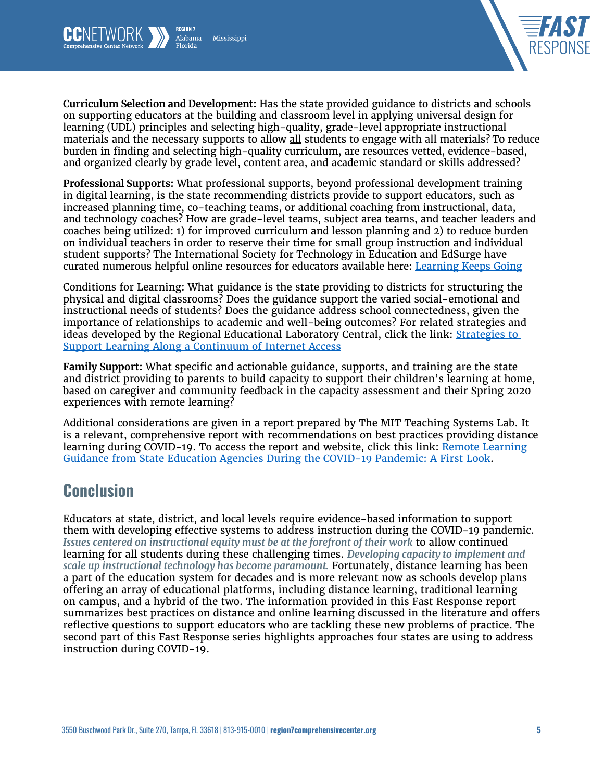



**Curriculum Selection and Development:** Has the state provided guidance to districts and schools on supporting educators at the building and classroom level in applying universal design for learning (UDL) principles and selecting high-quality, grade-level appropriate instructional materials and the necessary supports to allow all students to engage with all materials? To reduce burden in finding and selecting high-quality curriculum, are resources vetted, evidence-based, and organized clearly by grade level, content area, and academic standard or skills addressed?

**Professional Supports:** What professional supports, beyond professional development training in digital learning, is the state recommending districts provide to support educators, such as increased planning time, co-teaching teams, or additional coaching from instructional, data, and technology coaches? How are grade-level teams, subject area teams, and teacher leaders and coaches being utilized: 1) for improved curriculum and lesson planning and 2) to reduce burden on individual teachers in order to reserve their time for small group instruction and individual student supports? The International Society for Technology in Education and EdSurge have curated numerous helpful online resources for educators available here: [Learning Keeps Going](https://www.learningkeepsgoing.org/)

Conditions for Learning: What guidance is the state providing to districts for structuring the physical and digital classrooms? Does the guidance support the varied social-emotional and instructional needs of students? Does the guidance address school connectedness, given the importance of relationships to academic and well-being outcomes? For related strategies and ideas developed by the Regional Educational Laboratory Central, click the link: Strategies to [Support Learning Along a Continuum of Internet Access](https://ies.ed.gov/ncee/edLabs/regions/central/pdf/RELCentral_Remote-Learning-QC-Handout.pdf)

**Family Support:** What specific and actionable guidance, supports, and training are the state and district providing to parents to build capacity to support their children's learning at home, based on caregiver and community feedback in the capacity assessment and their Spring 2020 experiences with remote learning?

Additional considerations are given in a report prepared by The MIT Teaching Systems Lab. It is a relevant, comprehensive report with recommendations on best practices providing distance learning during COVID-19. To access the report and website, click this link: [Remote Learning](https://edarxiv.org/437e2)  [Guidance from State Education Agencies During the COVID-19 Pandemic: A First Look](https://edarxiv.org/437e2).

## Conclusion

Educators at state, district, and local levels require evidence-based information to support them with developing effective systems to address instruction during the COVID-19 pandemic. *Issues centered on instructional equity must be at the forefront of their work* to allow continued learning for all students during these challenging times. *Developing capacity to implement and scale up instructional technology has become paramount.* Fortunately, distance learning has been a part of the education system for decades and is more relevant now as schools develop plans offering an array of educational platforms, including distance learning, traditional learning on campus, and a hybrid of the two. The information provided in this Fast Response report summarizes best practices on distance and online learning discussed in the literature and offers reflective questions to support educators who are tackling these new problems of practice. The second part of this Fast Response series highlights approaches four states are using to address instruction during COVID-19.